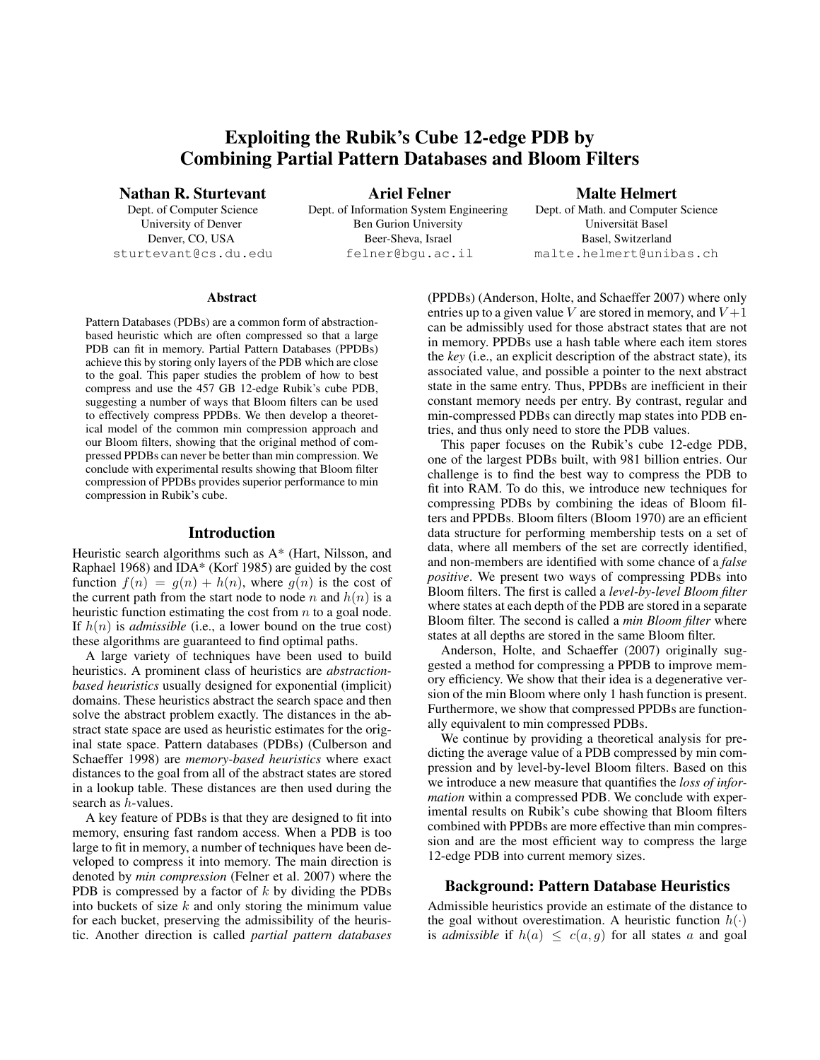# Exploiting the Rubik's Cube 12-edge PDB by Combining Partial Pattern Databases and Bloom Filters

Nathan R. Sturtevant

Dept. of Computer Science University of Denver Denver, CO, USA sturtevant@cs.du.edu

Ariel Felner Dept. of Information System Engineering Ben Gurion University Beer-Sheva, Israel felner@bgu.ac.il

Malte Helmert

Dept. of Math. and Computer Science Universität Basel Basel, Switzerland malte.helmert@unibas.ch

#### Abstract

Pattern Databases (PDBs) are a common form of abstractionbased heuristic which are often compressed so that a large PDB can fit in memory. Partial Pattern Databases (PPDBs) achieve this by storing only layers of the PDB which are close to the goal. This paper studies the problem of how to best compress and use the 457 GB 12-edge Rubik's cube PDB, suggesting a number of ways that Bloom filters can be used to effectively compress PPDBs. We then develop a theoretical model of the common min compression approach and our Bloom filters, showing that the original method of compressed PPDBs can never be better than min compression. We conclude with experimental results showing that Bloom filter compression of PPDBs provides superior performance to min compression in Rubik's cube.

## Introduction

Heuristic search algorithms such as A\* (Hart, Nilsson, and Raphael 1968) and IDA\* (Korf 1985) are guided by the cost function  $f(n) = q(n) + h(n)$ , where  $q(n)$  is the cost of the current path from the start node to node n and  $h(n)$  is a heuristic function estimating the cost from  $n$  to a goal node. If  $h(n)$  is *admissible* (i.e., a lower bound on the true cost) these algorithms are guaranteed to find optimal paths.

A large variety of techniques have been used to build heuristics. A prominent class of heuristics are *abstractionbased heuristics* usually designed for exponential (implicit) domains. These heuristics abstract the search space and then solve the abstract problem exactly. The distances in the abstract state space are used as heuristic estimates for the original state space. Pattern databases (PDBs) (Culberson and Schaeffer 1998) are *memory-based heuristics* where exact distances to the goal from all of the abstract states are stored in a lookup table. These distances are then used during the search as h-values.

A key feature of PDBs is that they are designed to fit into memory, ensuring fast random access. When a PDB is too large to fit in memory, a number of techniques have been developed to compress it into memory. The main direction is denoted by *min compression* (Felner et al. 2007) where the PDB is compressed by a factor of  $k$  by dividing the PDBs into buckets of size  $k$  and only storing the minimum value for each bucket, preserving the admissibility of the heuristic. Another direction is called *partial pattern databases*

(PPDBs) (Anderson, Holte, and Schaeffer 2007) where only entries up to a given value V are stored in memory, and  $V+1$ can be admissibly used for those abstract states that are not in memory. PPDBs use a hash table where each item stores the *key* (i.e., an explicit description of the abstract state), its associated value, and possible a pointer to the next abstract state in the same entry. Thus, PPDBs are inefficient in their constant memory needs per entry. By contrast, regular and min-compressed PDBs can directly map states into PDB entries, and thus only need to store the PDB values.

This paper focuses on the Rubik's cube 12-edge PDB, one of the largest PDBs built, with 981 billion entries. Our challenge is to find the best way to compress the PDB to fit into RAM. To do this, we introduce new techniques for compressing PDBs by combining the ideas of Bloom filters and PPDBs. Bloom filters (Bloom 1970) are an efficient data structure for performing membership tests on a set of data, where all members of the set are correctly identified, and non-members are identified with some chance of a *false positive*. We present two ways of compressing PDBs into Bloom filters. The first is called a *level-by-level Bloom filter* where states at each depth of the PDB are stored in a separate Bloom filter. The second is called a *min Bloom filter* where states at all depths are stored in the same Bloom filter.

Anderson, Holte, and Schaeffer (2007) originally suggested a method for compressing a PPDB to improve memory efficiency. We show that their idea is a degenerative version of the min Bloom where only 1 hash function is present. Furthermore, we show that compressed PPDBs are functionally equivalent to min compressed PDBs.

We continue by providing a theoretical analysis for predicting the average value of a PDB compressed by min compression and by level-by-level Bloom filters. Based on this we introduce a new measure that quantifies the *loss of information* within a compressed PDB. We conclude with experimental results on Rubik's cube showing that Bloom filters combined with PPDBs are more effective than min compression and are the most efficient way to compress the large 12-edge PDB into current memory sizes.

# Background: Pattern Database Heuristics

Admissible heuristics provide an estimate of the distance to the goal without overestimation. A heuristic function  $h(\cdot)$ is *admissible* if  $h(a) \leq c(a, g)$  for all states a and goal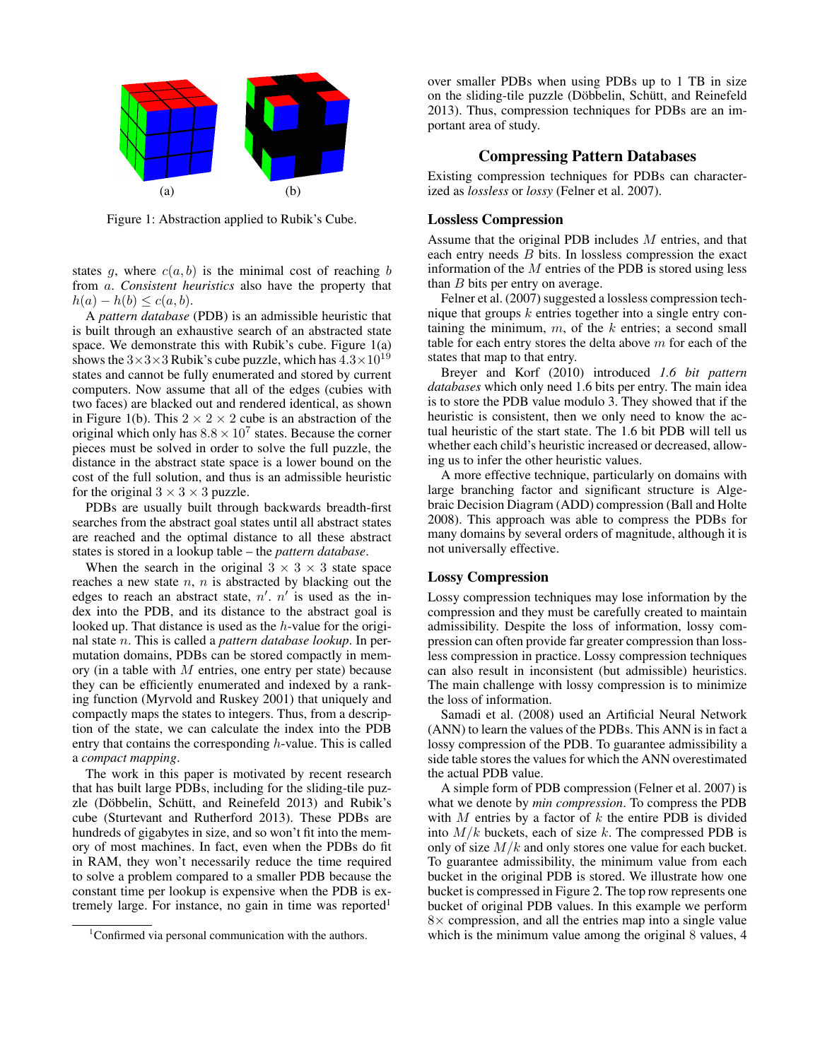

Figure 1: Abstraction applied to Rubik's Cube.

states g, where  $c(a, b)$  is the minimal cost of reaching b from a. *Consistent heuristics* also have the property that  $h(a) - h(b) \leq c(a, b).$ 

A *pattern database* (PDB) is an admissible heuristic that is built through an exhaustive search of an abstracted state space. We demonstrate this with Rubik's cube. Figure 1(a) shows the  $3\times3\times3$  Rubik's cube puzzle, which has  $4.3\times10^{19}$ states and cannot be fully enumerated and stored by current computers. Now assume that all of the edges (cubies with two faces) are blacked out and rendered identical, as shown in Figure 1(b). This  $2 \times 2 \times 2$  cube is an abstraction of the original which only has  $8.8 \times 10^7$  states. Because the corner pieces must be solved in order to solve the full puzzle, the distance in the abstract state space is a lower bound on the cost of the full solution, and thus is an admissible heuristic for the original  $3 \times 3 \times 3$  puzzle.

PDBs are usually built through backwards breadth-first searches from the abstract goal states until all abstract states are reached and the optimal distance to all these abstract states is stored in a lookup table – the *pattern database*.

When the search in the original  $3 \times 3 \times 3$  state space reaches a new state  $n$ ,  $n$  is abstracted by blacking out the edges to reach an abstract state,  $n'$ .  $n'$  is used as the index into the PDB, and its distance to the abstract goal is looked up. That distance is used as the h-value for the original state n. This is called a *pattern database lookup*. In permutation domains, PDBs can be stored compactly in memory (in a table with  $M$  entries, one entry per state) because they can be efficiently enumerated and indexed by a ranking function (Myrvold and Ruskey 2001) that uniquely and compactly maps the states to integers. Thus, from a description of the state, we can calculate the index into the PDB entry that contains the corresponding h-value. This is called a *compact mapping*.

The work in this paper is motivated by recent research that has built large PDBs, including for the sliding-tile puzzle (Döbbelin, Schütt, and Reinefeld 2013) and Rubik's cube (Sturtevant and Rutherford 2013). These PDBs are hundreds of gigabytes in size, and so won't fit into the memory of most machines. In fact, even when the PDBs do fit in RAM, they won't necessarily reduce the time required to solve a problem compared to a smaller PDB because the constant time per lookup is expensive when the PDB is extremely large. For instance, no gain in time was reported<sup>1</sup>

over smaller PDBs when using PDBs up to 1 TB in size on the sliding-tile puzzle (Döbbelin, Schütt, and Reinefeld 2013). Thus, compression techniques for PDBs are an important area of study.

## Compressing Pattern Databases

Existing compression techniques for PDBs can characterized as *lossless* or *lossy* (Felner et al. 2007).

## Lossless Compression

Assume that the original PDB includes M entries, and that each entry needs B bits. In lossless compression the exact information of the  $M$  entries of the PDB is stored using less than  $B$  bits per entry on average.

Felner et al. (2007) suggested a lossless compression technique that groups  $k$  entries together into a single entry containing the minimum,  $m$ , of the  $k$  entries; a second small table for each entry stores the delta above  $m$  for each of the states that map to that entry.

Breyer and Korf (2010) introduced *1.6 bit pattern databases* which only need 1.6 bits per entry. The main idea is to store the PDB value modulo 3. They showed that if the heuristic is consistent, then we only need to know the actual heuristic of the start state. The 1.6 bit PDB will tell us whether each child's heuristic increased or decreased, allowing us to infer the other heuristic values.

A more effective technique, particularly on domains with large branching factor and significant structure is Algebraic Decision Diagram (ADD) compression (Ball and Holte 2008). This approach was able to compress the PDBs for many domains by several orders of magnitude, although it is not universally effective.

## Lossy Compression

Lossy compression techniques may lose information by the compression and they must be carefully created to maintain admissibility. Despite the loss of information, lossy compression can often provide far greater compression than lossless compression in practice. Lossy compression techniques can also result in inconsistent (but admissible) heuristics. The main challenge with lossy compression is to minimize the loss of information.

Samadi et al. (2008) used an Artificial Neural Network (ANN) to learn the values of the PDBs. This ANN is in fact a lossy compression of the PDB. To guarantee admissibility a side table stores the values for which the ANN overestimated the actual PDB value.

A simple form of PDB compression (Felner et al. 2007) is what we denote by *min compression*. To compress the PDB with  $M$  entries by a factor of  $k$  the entire PDB is divided into  $M/k$  buckets, each of size k. The compressed PDB is only of size  $M/k$  and only stores one value for each bucket. To guarantee admissibility, the minimum value from each bucket in the original PDB is stored. We illustrate how one bucket is compressed in Figure 2. The top row represents one bucket of original PDB values. In this example we perform  $8\times$  compression, and all the entries map into a single value which is the minimum value among the original 8 values, 4

<sup>&</sup>lt;sup>1</sup>Confirmed via personal communication with the authors.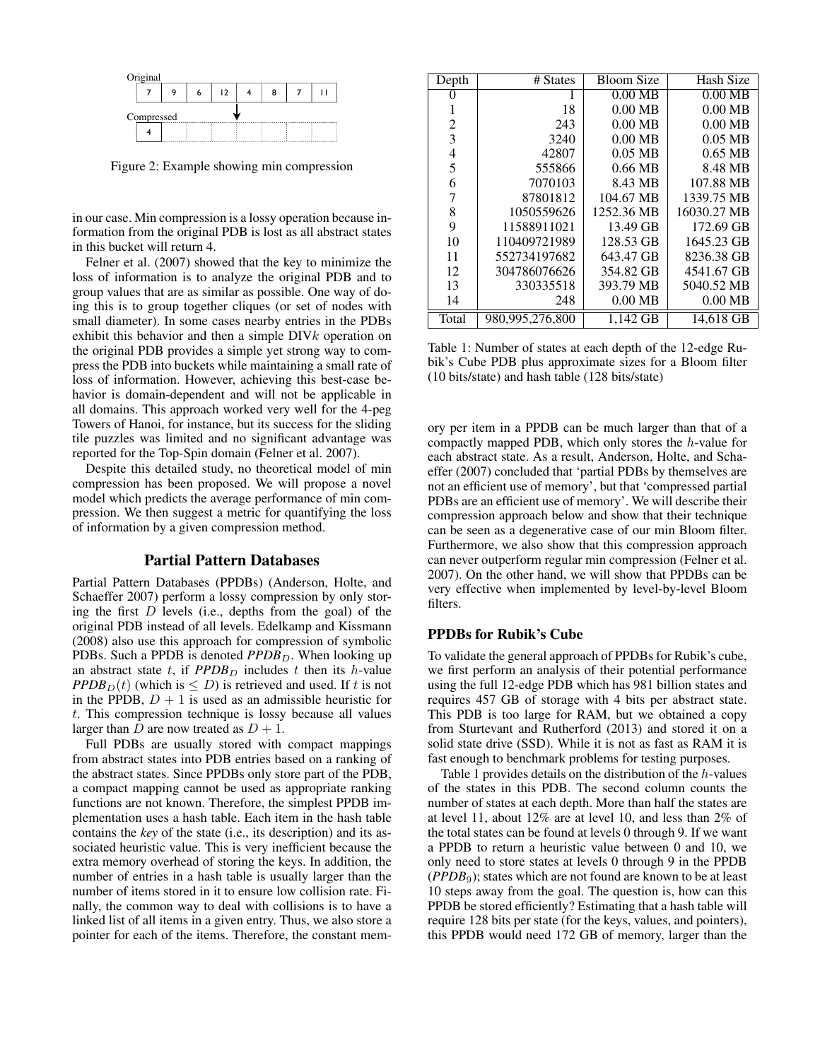

Figure 2: Example showing min compression

in our case. Min compression is a lossy operation because information from the original PDB is lost as all abstract states in this bucket will return 4.

Felner et al. (2007) showed that the key to minimize the loss of information is to analyze the original PDB and to group values that are as similar as possible. One way of doing this is to group together cliques (or set of nodes with small diameter). In some cases nearby entries in the PDBs exhibit this behavior and then a simple  $DIVk$  operation on the original PDB provides a simple yet strong way to compress the PDB into buckets while maintaining a small rate of loss of information. However, achieving this best-case behavior is domain-dependent and will not be applicable in all domains. This approach worked very well for the 4-peg Towers of Hanoi, for instance, but its success for the sliding tile puzzles was limited and no significant advantage was reported for the Top-Spin domain (Felner et al. 2007).

Despite this detailed study, no theoretical model of min compression has been proposed. We will propose a novel model which predicts the average performance of min compression. We then suggest a metric for quantifying the loss of information by a given compression method.

## Partial Pattern Databases

Partial Pattern Databases (PPDBs) (Anderson, Holte, and Schaeffer 2007) perform a lossy compression by only storing the first  $D$  levels (i.e., depths from the goal) of the original PDB instead of all levels. Edelkamp and Kissmann (2008) also use this approach for compression of symbolic PDBs. Such a PPDB is denoted *PPDB*<sub>D</sub>. When looking up an abstract state t, if  $PPDB<sub>D</sub>$  includes t then its h-value *PPDB* $_D(t)$  (which is  $\leq D$ ) is retrieved and used. If t is not in the PPDB,  $D + 1$  is used as an admissible heuristic for t. This compression technique is lossy because all values larger than  $D$  are now treated as  $D + 1$ .

Full PDBs are usually stored with compact mappings from abstract states into PDB entries based on a ranking of the abstract states. Since PPDBs only store part of the PDB, a compact mapping cannot be used as appropriate ranking functions are not known. Therefore, the simplest PPDB implementation uses a hash table. Each item in the hash table contains the *key* of the state (i.e., its description) and its associated heuristic value. This is very inefficient because the extra memory overhead of storing the keys. In addition, the number of entries in a hash table is usually larger than the number of items stored in it to ensure low collision rate. Finally, the common way to deal with collisions is to have a linked list of all items in a given entry. Thus, we also store a pointer for each of the items. Therefore, the constant mem-

| Depth | # States        | <b>Bloom Size</b> | Hash Size   |
|-------|-----------------|-------------------|-------------|
|       | 1               | $0.00$ MB         | $0.00$ MB   |
|       | 18              | $0.00$ MB         | $0.00$ MB   |
| 2     | 243             | $0.00$ MB         | $0.00$ MB   |
| 3     | 3240            | $0.00 \text{ MB}$ | $0.05$ MB   |
| 4     | 42807           | $0.05$ MB         | $0.65$ MB   |
| 5     | 555866          | $0.66$ MB         | 8.48 MB     |
| 6     | 7070103         | 8.43 MB           | 107.88 MB   |
| 7     | 87801812        | 104.67 MB         | 1339.75 MB  |
| 8     | 1050559626      | 1252.36 MB        | 16030.27 MB |
| 9     | 11588911021     | 13.49 GB          | 172.69 GB   |
| 10    | 110409721989    | 128.53 GB         | 1645.23 GB  |
| 11    | 552734197682    | 643.47 GB         | 8236.38 GB  |
| 12    | 304786076626    | 354.82 GB         | 4541.67 GB  |
| 13    | 330335518       | 393.79 MB         | 5040.52 MB  |
| 14    | 248             | $0.00$ MB         | $0.00$ MB   |
| Total | 980,995,276,800 | 1.142 GB          | 14,618 GB   |

Table 1: Number of states at each depth of the 12-edge Rubik's Cube PDB plus approximate sizes for a Bloom filter (10 bits/state) and hash table (128 bits/state)

ory per item in a PPDB can be much larger than that of a compactly mapped PDB, which only stores the h-value for each abstract state. As a result, Anderson, Holte, and Schaeffer (2007) concluded that 'partial PDBs by themselves are not an efficient use of memory', but that 'compressed partial PDBs are an efficient use of memory'. We will describe their compression approach below and show that their technique can be seen as a degenerative case of our min Bloom filter. Furthermore, we also show that this compression approach can never outperform regular min compression (Felner et al. 2007). On the other hand, we will show that PPDBs can be very effective when implemented by level-by-level Bloom filters.

## PPDBs for Rubik's Cube

To validate the general approach of PPDBs for Rubik's cube, we first perform an analysis of their potential performance using the full 12-edge PDB which has 981 billion states and requires 457 GB of storage with 4 bits per abstract state. This PDB is too large for RAM, but we obtained a copy from Sturtevant and Rutherford (2013) and stored it on a solid state drive (SSD). While it is not as fast as RAM it is fast enough to benchmark problems for testing purposes.

Table 1 provides details on the distribution of the h-values of the states in this PDB. The second column counts the number of states at each depth. More than half the states are at level 11, about 12% are at level 10, and less than 2% of the total states can be found at levels 0 through 9. If we want a PPDB to return a heuristic value between 0 and 10, we only need to store states at levels 0 through 9 in the PPDB (*PPDB*9); states which are not found are known to be at least 10 steps away from the goal. The question is, how can this PPDB be stored efficiently? Estimating that a hash table will require 128 bits per state (for the keys, values, and pointers), this PPDB would need 172 GB of memory, larger than the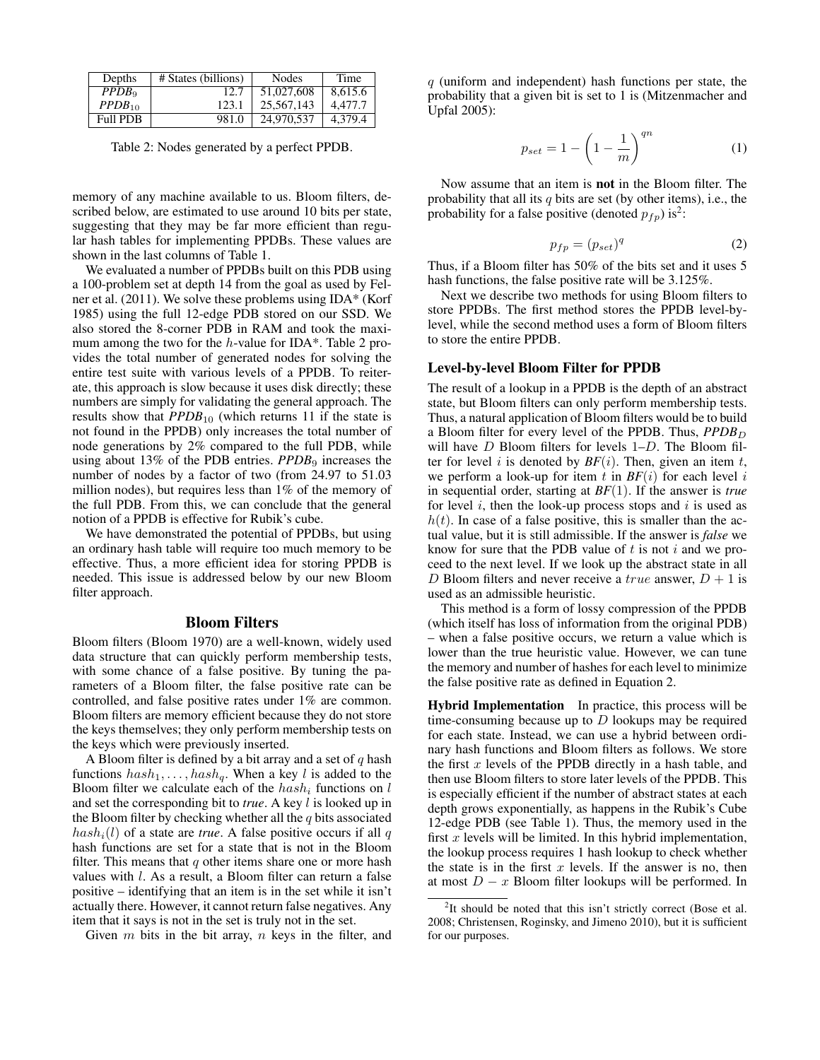| Depths            | # States (billions) | Nodes      | Time    |
|-------------------|---------------------|------------|---------|
| PPDB <sub>0</sub> | 12.7                | 51,027,608 | 8.615.6 |
| $PPDB_{10}$       | 123.1               | 25,567,143 | 4.477.7 |
| <b>Full PDB</b>   | 981.0               | 24,970,537 | 4,379.4 |

Table 2: Nodes generated by a perfect PPDB.

memory of any machine available to us. Bloom filters, described below, are estimated to use around 10 bits per state, suggesting that they may be far more efficient than regular hash tables for implementing PPDBs. These values are shown in the last columns of Table 1.

We evaluated a number of PPDBs built on this PDB using a 100-problem set at depth 14 from the goal as used by Felner et al. (2011). We solve these problems using IDA\* (Korf 1985) using the full 12-edge PDB stored on our SSD. We also stored the 8-corner PDB in RAM and took the maximum among the two for the h-value for IDA\*. Table 2 provides the total number of generated nodes for solving the entire test suite with various levels of a PPDB. To reiterate, this approach is slow because it uses disk directly; these numbers are simply for validating the general approach. The results show that *PPDB*<sub>10</sub> (which returns 11 if the state is not found in the PPDB) only increases the total number of node generations by 2% compared to the full PDB, while using about 13% of the PDB entries. *PPDB*<sub>9</sub> increases the number of nodes by a factor of two (from 24.97 to 51.03 million nodes), but requires less than 1% of the memory of the full PDB. From this, we can conclude that the general notion of a PPDB is effective for Rubik's cube.

We have demonstrated the potential of PPDBs, but using an ordinary hash table will require too much memory to be effective. Thus, a more efficient idea for storing PPDB is needed. This issue is addressed below by our new Bloom filter approach.

#### Bloom Filters

Bloom filters (Bloom 1970) are a well-known, widely used data structure that can quickly perform membership tests, with some chance of a false positive. By tuning the parameters of a Bloom filter, the false positive rate can be controlled, and false positive rates under 1% are common. Bloom filters are memory efficient because they do not store the keys themselves; they only perform membership tests on the keys which were previously inserted.

A Bloom filter is defined by a bit array and a set of  $q$  hash functions  $hash_1, \ldots, hash_q$ . When a key l is added to the Bloom filter we calculate each of the  $hash_i$  functions on l and set the corresponding bit to *true*. A key l is looked up in the Bloom filter by checking whether all the  $q$  bits associated  $hash<sub>i</sub>(l)$  of a state are *true*. A false positive occurs if all q hash functions are set for a state that is not in the Bloom filter. This means that  $q$  other items share one or more hash values with l. As a result, a Bloom filter can return a false positive – identifying that an item is in the set while it isn't actually there. However, it cannot return false negatives. Any item that it says is not in the set is truly not in the set.

Given  $m$  bits in the bit array,  $n$  keys in the filter, and

 $q$  (uniform and independent) hash functions per state, the probability that a given bit is set to 1 is (Mitzenmacher and Upfal 2005):

$$
p_{set} = 1 - \left(1 - \frac{1}{m}\right)^{qn} \tag{1}
$$

Now assume that an item is not in the Bloom filter. The probability that all its  $q$  bits are set (by other items), i.e., the probability for a false positive (denoted  $p_{fp}$ ) is<sup>2</sup>:

$$
p_{fp} = (p_{set})^q \tag{2}
$$

Thus, if a Bloom filter has 50% of the bits set and it uses 5 hash functions, the false positive rate will be 3.125%.

Next we describe two methods for using Bloom filters to store PPDBs. The first method stores the PPDB level-bylevel, while the second method uses a form of Bloom filters to store the entire PPDB.

## Level-by-level Bloom Filter for PPDB

The result of a lookup in a PPDB is the depth of an abstract state, but Bloom filters can only perform membership tests. Thus, a natural application of Bloom filters would be to build a Bloom filter for every level of the PPDB. Thus, *PPDB*<sub>D</sub> will have *D* Bloom filters for levels 1–*D*. The Bloom filter for level i is denoted by  $BF(i)$ . Then, given an item t, we perform a look-up for item t in  $BF(i)$  for each level i in sequential order, starting at *BF*(1). If the answer is *true* for level  $i$ , then the look-up process stops and  $i$  is used as  $h(t)$ . In case of a false positive, this is smaller than the actual value, but it is still admissible. If the answer is *false* we know for sure that the PDB value of  $t$  is not  $i$  and we proceed to the next level. If we look up the abstract state in all D Bloom filters and never receive a true answer,  $D + 1$  is used as an admissible heuristic.

This method is a form of lossy compression of the PPDB (which itself has loss of information from the original PDB) – when a false positive occurs, we return a value which is lower than the true heuristic value. However, we can tune the memory and number of hashes for each level to minimize the false positive rate as defined in Equation 2.

Hybrid Implementation In practice, this process will be time-consuming because up to  $D$  lookups may be required for each state. Instead, we can use a hybrid between ordinary hash functions and Bloom filters as follows. We store the first  $x$  levels of the PPDB directly in a hash table, and then use Bloom filters to store later levels of the PPDB. This is especially efficient if the number of abstract states at each depth grows exponentially, as happens in the Rubik's Cube 12-edge PDB (see Table 1). Thus, the memory used in the first  $x$  levels will be limited. In this hybrid implementation, the lookup process requires 1 hash lookup to check whether the state is in the first  $x$  levels. If the answer is no, then at most  $D - x$  Bloom filter lookups will be performed. In

 $2$ It should be noted that this isn't strictly correct (Bose et al. 2008; Christensen, Roginsky, and Jimeno 2010), but it is sufficient for our purposes.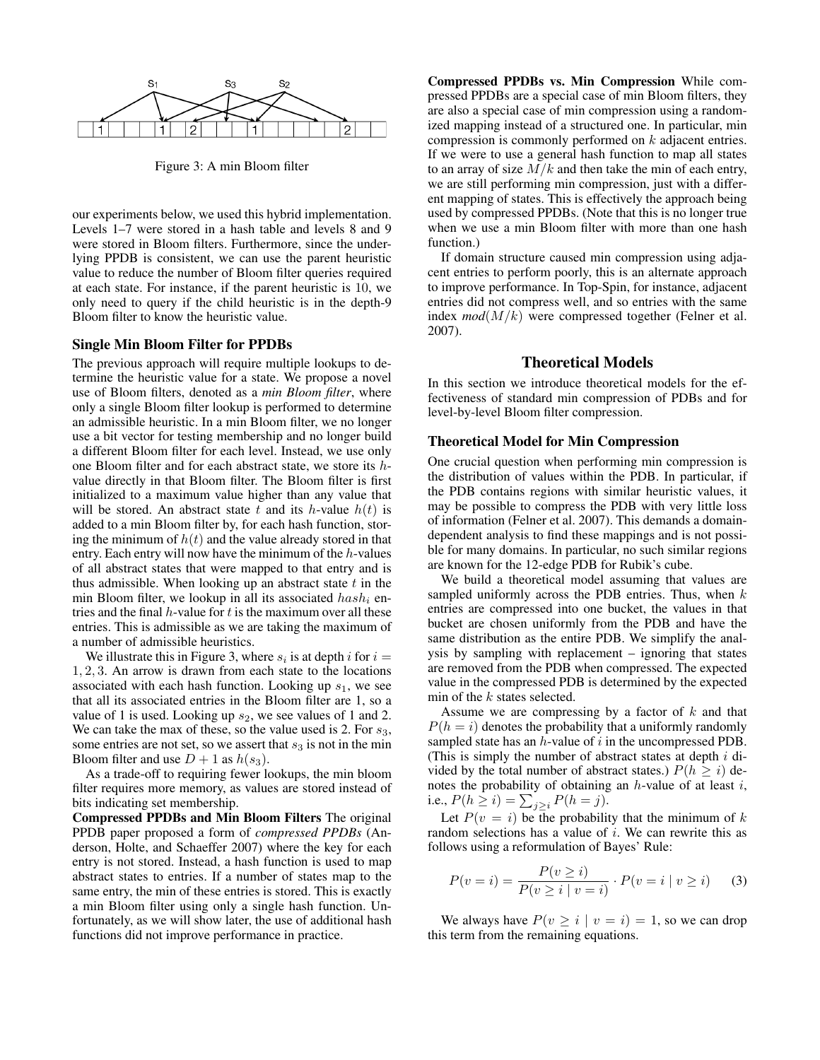

Figure 3: A min Bloom filter

our experiments below, we used this hybrid implementation. Levels 1–7 were stored in a hash table and levels 8 and 9 were stored in Bloom filters. Furthermore, since the underlying PPDB is consistent, we can use the parent heuristic value to reduce the number of Bloom filter queries required at each state. For instance, if the parent heuristic is 10, we only need to query if the child heuristic is in the depth-9 Bloom filter to know the heuristic value.

#### Single Min Bloom Filter for PPDBs

The previous approach will require multiple lookups to determine the heuristic value for a state. We propose a novel use of Bloom filters, denoted as a *min Bloom filter*, where only a single Bloom filter lookup is performed to determine an admissible heuristic. In a min Bloom filter, we no longer use a bit vector for testing membership and no longer build a different Bloom filter for each level. Instead, we use only one Bloom filter and for each abstract state, we store its hvalue directly in that Bloom filter. The Bloom filter is first initialized to a maximum value higher than any value that will be stored. An abstract state t and its h-value  $h(t)$  is added to a min Bloom filter by, for each hash function, storing the minimum of  $h(t)$  and the value already stored in that entry. Each entry will now have the minimum of the  $h$ -values of all abstract states that were mapped to that entry and is thus admissible. When looking up an abstract state  $t$  in the min Bloom filter, we lookup in all its associated  $hash_i$  entries and the final  $h$ -value for  $t$  is the maximum over all these entries. This is admissible as we are taking the maximum of a number of admissible heuristics.

We illustrate this in Figure 3, where  $s_i$  is at depth i for  $i =$ 1, 2, 3. An arrow is drawn from each state to the locations associated with each hash function. Looking up  $s_1$ , we see that all its associated entries in the Bloom filter are 1, so a value of 1 is used. Looking up  $s_2$ , we see values of 1 and 2. We can take the max of these, so the value used is 2. For  $s_3$ , some entries are not set, so we assert that  $s_3$  is not in the min Bloom filter and use  $D + 1$  as  $h(s_3)$ .

As a trade-off to requiring fewer lookups, the min bloom filter requires more memory, as values are stored instead of bits indicating set membership.

Compressed PPDBs and Min Bloom Filters The original PPDB paper proposed a form of *compressed PPDBs* (Anderson, Holte, and Schaeffer 2007) where the key for each entry is not stored. Instead, a hash function is used to map abstract states to entries. If a number of states map to the same entry, the min of these entries is stored. This is exactly a min Bloom filter using only a single hash function. Unfortunately, as we will show later, the use of additional hash functions did not improve performance in practice.

Compressed PPDBs vs. Min Compression While compressed PPDBs are a special case of min Bloom filters, they are also a special case of min compression using a randomized mapping instead of a structured one. In particular, min compression is commonly performed on k adjacent entries. If we were to use a general hash function to map all states to an array of size  $M/k$  and then take the min of each entry, we are still performing min compression, just with a different mapping of states. This is effectively the approach being used by compressed PPDBs. (Note that this is no longer true when we use a min Bloom filter with more than one hash function.)

If domain structure caused min compression using adjacent entries to perform poorly, this is an alternate approach to improve performance. In Top-Spin, for instance, adjacent entries did not compress well, and so entries with the same index *mod*(M/k) were compressed together (Felner et al. 2007).

# Theoretical Models

In this section we introduce theoretical models for the effectiveness of standard min compression of PDBs and for level-by-level Bloom filter compression.

#### Theoretical Model for Min Compression

One crucial question when performing min compression is the distribution of values within the PDB. In particular, if the PDB contains regions with similar heuristic values, it may be possible to compress the PDB with very little loss of information (Felner et al. 2007). This demands a domaindependent analysis to find these mappings and is not possible for many domains. In particular, no such similar regions are known for the 12-edge PDB for Rubik's cube.

We build a theoretical model assuming that values are sampled uniformly across the PDB entries. Thus, when  $k$ entries are compressed into one bucket, the values in that bucket are chosen uniformly from the PDB and have the same distribution as the entire PDB. We simplify the analysis by sampling with replacement – ignoring that states are removed from the PDB when compressed. The expected value in the compressed PDB is determined by the expected min of the  $k$  states selected.

Assume we are compressing by a factor of  $k$  and that  $P(h = i)$  denotes the probability that a uniformly randomly sampled state has an  $h$ -value of  $i$  in the uncompressed PDB. (This is simply the number of abstract states at depth  $i$  divided by the total number of abstract states.)  $P(h \ge i)$  denotes the probability of obtaining an  $h$ -value of at least  $i$ , i.e.,  $P(h \ge i) = \sum_{j \ge i} P(h = j)$ .

Let  $P(v = i)$  be the probability that the minimum of k random selections has a value of  $i$ . We can rewrite this as follows using a reformulation of Bayes' Rule:

$$
P(v=i) = \frac{P(v \ge i)}{P(v \ge i \mid v=i)} \cdot P(v=i \mid v \ge i)
$$
 (3)

We always have  $P(v \geq i \mid v = i) = 1$ , so we can drop this term from the remaining equations.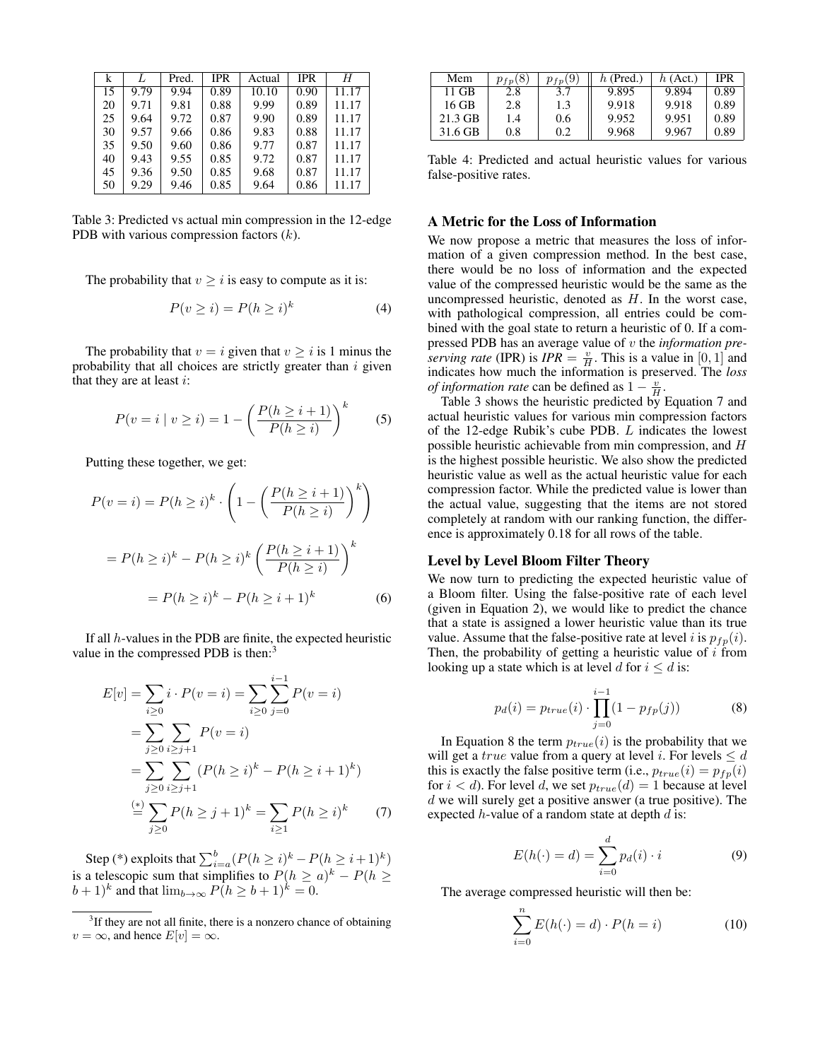| k  |      | Pred. | <b>IPR</b> | Actual | <b>IPR</b> | Η     |
|----|------|-------|------------|--------|------------|-------|
| 15 | 9.79 | 9.94  | 0.89       | 10.10  | 0.90       | 11.17 |
| 20 | 9.71 | 9.81  | 0.88       | 9.99   | 0.89       | 11.17 |
| 25 | 9.64 | 9.72  | 0.87       | 9.90   | 0.89       | 11.17 |
| 30 | 9.57 | 9.66  | 0.86       | 9.83   | 0.88       | 11.17 |
| 35 | 9.50 | 9.60  | 0.86       | 9.77   | 0.87       | 11.17 |
| 40 | 9.43 | 9.55  | 0.85       | 9.72   | 0.87       | 11.17 |
| 45 | 9.36 | 9.50  | 0.85       | 9.68   | 0.87       | 11.17 |
| 50 | 9.29 | 9.46  | 0.85       | 9.64   | 0.86       | 11.17 |

Table 3: Predicted vs actual min compression in the 12-edge PDB with various compression factors  $(k)$ .

The probability that  $v \geq i$  is easy to compute as it is:

$$
P(v \ge i) = P(h \ge i)^k \tag{4}
$$

The probability that  $v = i$  given that  $v \geq i$  is 1 minus the probability that all choices are strictly greater than  $i$  given that they are at least  $i$ :

$$
P(v = i | v \ge i) = 1 - \left(\frac{P(h \ge i + 1)}{P(h \ge i)}\right)^k
$$
 (5)

Putting these together, we get:

$$
P(v=i) = P(h \ge i)^k \cdot \left(1 - \left(\frac{P(h \ge i+1)}{P(h \ge i)}\right)^k\right)
$$

$$
= P(h \ge i)^k - P(h \ge i)^k \left(\frac{P(h \ge i+1)}{P(h \ge i)}\right)^k
$$

$$
= P(h \ge i)^k - P(h \ge i+1)^k \tag{6}
$$

If all h-values in the PDB are finite, the expected heuristic value in the compressed PDB is then:<sup>3</sup>

$$
E[v] = \sum_{i\geq 0} i \cdot P(v = i) = \sum_{i\geq 0} \sum_{j=0}^{i-1} P(v = i)
$$
  
= 
$$
\sum_{j\geq 0} \sum_{i\geq j+1} P(v = i)
$$
  
= 
$$
\sum_{j\geq 0} \sum_{i\geq j+1} (P(h \geq i)^k - P(h \geq i+1)^k)
$$
  
= 
$$
\sum_{j\geq 0} P(h \geq j+1)^k = \sum_{i\geq 1} P(h \geq i)^k
$$
 (7)

Step (\*) exploits that  $\sum_{i=a}^{b} (P(h \ge i)^{k} - P(h \ge i+1)^{k})$ is a telescopic sum that simplifies to  $P(h \ge a)^k - P(h \ge a)$  $(b+1)^k$  and that  $\lim_{b\to\infty} P(h \geq b+1)^k = 0$ .

| Mem     | $p_{fp}(8)$ | $p_{fp}(9)$ | $h$ (Pred.) | $h$ (Act.) | <b>IPR</b> |
|---------|-------------|-------------|-------------|------------|------------|
| 11 GB   | 2.8         | 3.7         | 9.895       | 9.894      | 0.89       |
| 16 GB   | 2.8         | 1.3         | 9.918       | 9.918      | 0.89       |
| 21.3 GB | 1.4         | 0.6         | 9.952       | 9.951      | 0.89       |
| 31.6 GB | 0.8         | 0.2         | 9.968       | 9.967      | 0.89       |

Table 4: Predicted and actual heuristic values for various false-positive rates.

#### A Metric for the Loss of Information

We now propose a metric that measures the loss of information of a given compression method. In the best case, there would be no loss of information and the expected value of the compressed heuristic would be the same as the uncompressed heuristic, denoted as  $H$ . In the worst case, with pathological compression, all entries could be combined with the goal state to return a heuristic of 0. If a compressed PDB has an average value of v the *information pre*serving rate (IPR) is  $IPR = \frac{v}{H}$ . This is a value in [0, 1] and indicates how much the information is preserved. The *loss of information rate* can be defined as  $1 - \frac{v}{H}$ .

Table 3 shows the heuristic predicted by Equation 7 and actual heuristic values for various min compression factors of the 12-edge Rubik's cube PDB. L indicates the lowest possible heuristic achievable from min compression, and H is the highest possible heuristic. We also show the predicted heuristic value as well as the actual heuristic value for each compression factor. While the predicted value is lower than the actual value, suggesting that the items are not stored completely at random with our ranking function, the difference is approximately 0.18 for all rows of the table.

## Level by Level Bloom Filter Theory

We now turn to predicting the expected heuristic value of a Bloom filter. Using the false-positive rate of each level (given in Equation 2), we would like to predict the chance that a state is assigned a lower heuristic value than its true value. Assume that the false-positive rate at level i is  $p_{fp}(i)$ . Then, the probability of getting a heuristic value of  $i$  from looking up a state which is at level d for  $i \le d$  is:

$$
p_d(i) = p_{true}(i) \cdot \prod_{j=0}^{i-1} (1 - p_{fp}(j))
$$
 (8)

In Equation 8 the term  $p_{true}(i)$  is the probability that we will get a *true* value from a query at level *i*. For levels  $\leq d$ this is exactly the false positive term (i.e.,  $p_{true}(i) = p_{fp}(i)$ for  $i < d$ ). For level d, we set  $p_{true}(d) = 1$  because at level  $d$  we will surely get a positive answer (a true positive). The expected  $h$ -value of a random state at depth  $d$  is:

$$
E(h(\cdot) = d) = \sum_{i=0}^{d} p_d(i) \cdot i \tag{9}
$$

The average compressed heuristic will then be:

$$
\sum_{i=0}^{n} E(h(\cdot) = d) \cdot P(h = i)
$$
 (10)

<sup>&</sup>lt;sup>3</sup>If they are not all finite, there is a nonzero chance of obtaining  $v = \infty$ , and hence  $E[v] = \infty$ .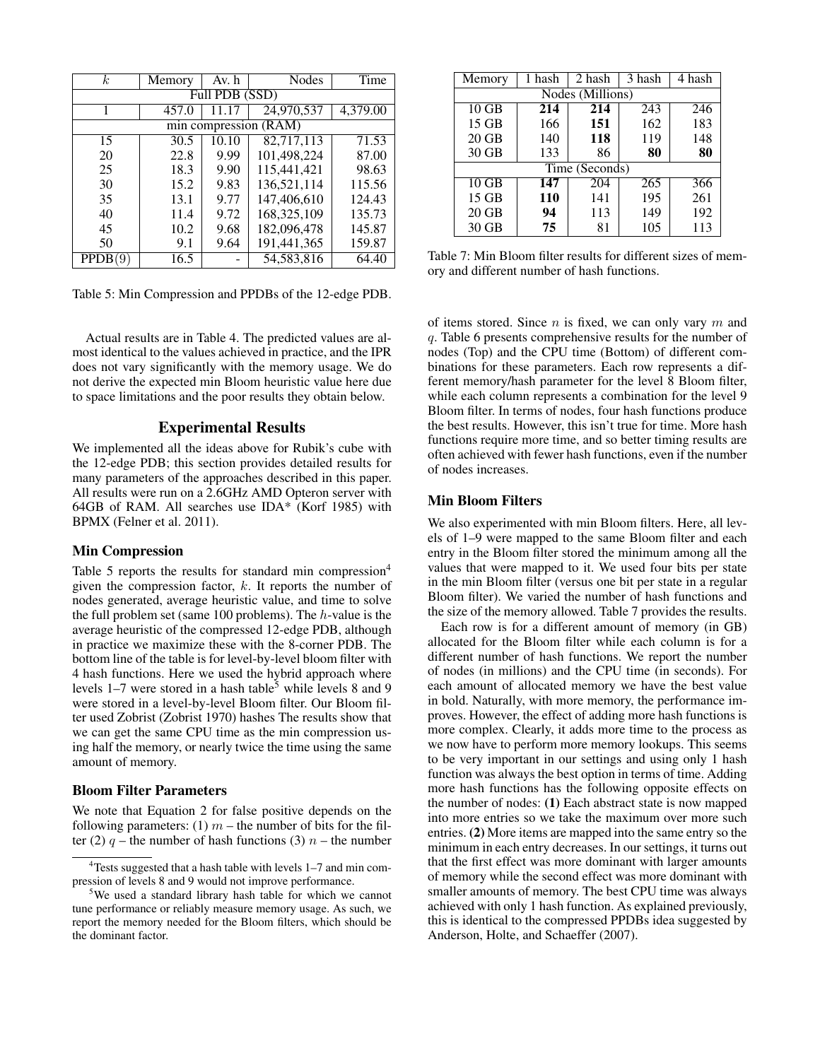| $\kappa$                | Memory | Av. h          | Nodes        | Time     |  |  |  |  |  |
|-------------------------|--------|----------------|--------------|----------|--|--|--|--|--|
|                         |        | Full PDB (SSD) |              |          |  |  |  |  |  |
|                         | 457.0  |                | 24,970,537   | 4,379.00 |  |  |  |  |  |
| min compression $(RAM)$ |        |                |              |          |  |  |  |  |  |
| 15                      | 30.5   | 10.10          | 82,717,113   | 71.53    |  |  |  |  |  |
| 20                      | 22.8   | 9.99           | 101,498,224  | 87.00    |  |  |  |  |  |
| 25                      | 18.3   | 9.90           | 115.441.421  | 98.63    |  |  |  |  |  |
| 30                      | 15.2   | 9.83           | 136,521,114  | 115.56   |  |  |  |  |  |
| 35                      | 13.1   | 9.77           | 147,406,610  | 124.43   |  |  |  |  |  |
| 40                      | 11.4   | 9.72           | 168,325,109  | 135.73   |  |  |  |  |  |
| 45                      | 10.2   | 9.68           | 182,096,478  | 145.87   |  |  |  |  |  |
| 50                      | 9.1    | 9.64           | 191,441,365  | 159.87   |  |  |  |  |  |
| <b>PPDB</b>             | 16.5   |                | 54, 583, 816 | 64.40    |  |  |  |  |  |

Table 5: Min Compression and PPDBs of the 12-edge PDB.

Actual results are in Table 4. The predicted values are almost identical to the values achieved in practice, and the IPR does not vary significantly with the memory usage. We do not derive the expected min Bloom heuristic value here due to space limitations and the poor results they obtain below.

# Experimental Results

We implemented all the ideas above for Rubik's cube with the 12-edge PDB; this section provides detailed results for many parameters of the approaches described in this paper. All results were run on a 2.6GHz AMD Opteron server with 64GB of RAM. All searches use IDA\* (Korf 1985) with BPMX (Felner et al. 2011).

#### Min Compression

Table 5 reports the results for standard min compression<sup>4</sup> given the compression factor,  $k$ . It reports the number of nodes generated, average heuristic value, and time to solve the full problem set (same  $100$  problems). The  $h$ -value is the average heuristic of the compressed 12-edge PDB, although in practice we maximize these with the 8-corner PDB. The bottom line of the table is for level-by-level bloom filter with 4 hash functions. Here we used the hybrid approach where levels  $1-7$  were stored in a hash table<sup>5</sup> while levels 8 and 9 were stored in a level-by-level Bloom filter. Our Bloom filter used Zobrist (Zobrist 1970) hashes The results show that we can get the same CPU time as the min compression using half the memory, or nearly twice the time using the same amount of memory.

## Bloom Filter Parameters

We note that Equation 2 for false positive depends on the following parameters: (1)  $m$  – the number of bits for the filter (2)  $q$  – the number of hash functions (3)  $n$  – the number

| Memory          | 1 hash           | 2 hash         | 3 hash | 4 hash |  |  |  |  |  |  |  |  |
|-----------------|------------------|----------------|--------|--------|--|--|--|--|--|--|--|--|
|                 | Nodes (Millions) |                |        |        |  |  |  |  |  |  |  |  |
| $10$ GB         | 214              | 214            | 243    | 246    |  |  |  |  |  |  |  |  |
| 15 GB           | 166              | 151            | 162    | 183    |  |  |  |  |  |  |  |  |
| $20$ GB         | 140              | 118            | 119    | 148    |  |  |  |  |  |  |  |  |
| $30$ GB         | 133              | 86             | 80     | 80     |  |  |  |  |  |  |  |  |
|                 |                  | Time (Seconds) |        |        |  |  |  |  |  |  |  |  |
| $10 \text{ GB}$ | 147              | 204            | 265    | 366    |  |  |  |  |  |  |  |  |
| 15 GB           | 110              | 141            | 195    | 261    |  |  |  |  |  |  |  |  |
| $20$ GB         | 94               | 113            | 149    | 192    |  |  |  |  |  |  |  |  |
| $30$ GB         | 75               | 81             | 105    | 113    |  |  |  |  |  |  |  |  |

Table 7: Min Bloom filter results for different sizes of memory and different number of hash functions.

of items stored. Since  $n$  is fixed, we can only vary  $m$  and q. Table 6 presents comprehensive results for the number of nodes (Top) and the CPU time (Bottom) of different combinations for these parameters. Each row represents a different memory/hash parameter for the level 8 Bloom filter, while each column represents a combination for the level 9 Bloom filter. In terms of nodes, four hash functions produce the best results. However, this isn't true for time. More hash functions require more time, and so better timing results are often achieved with fewer hash functions, even if the number of nodes increases.

#### Min Bloom Filters

We also experimented with min Bloom filters. Here, all levels of 1–9 were mapped to the same Bloom filter and each entry in the Bloom filter stored the minimum among all the values that were mapped to it. We used four bits per state in the min Bloom filter (versus one bit per state in a regular Bloom filter). We varied the number of hash functions and the size of the memory allowed. Table 7 provides the results.

Each row is for a different amount of memory (in GB) allocated for the Bloom filter while each column is for a different number of hash functions. We report the number of nodes (in millions) and the CPU time (in seconds). For each amount of allocated memory we have the best value in bold. Naturally, with more memory, the performance improves. However, the effect of adding more hash functions is more complex. Clearly, it adds more time to the process as we now have to perform more memory lookups. This seems to be very important in our settings and using only 1 hash function was always the best option in terms of time. Adding more hash functions has the following opposite effects on the number of nodes: (1) Each abstract state is now mapped into more entries so we take the maximum over more such entries. (2) More items are mapped into the same entry so the minimum in each entry decreases. In our settings, it turns out that the first effect was more dominant with larger amounts of memory while the second effect was more dominant with smaller amounts of memory. The best CPU time was always achieved with only 1 hash function. As explained previously, this is identical to the compressed PPDBs idea suggested by Anderson, Holte, and Schaeffer (2007).

<sup>4</sup>Tests suggested that a hash table with levels 1–7 and min compression of levels 8 and 9 would not improve performance.

<sup>5</sup>We used a standard library hash table for which we cannot tune performance or reliably measure memory usage. As such, we report the memory needed for the Bloom filters, which should be the dominant factor.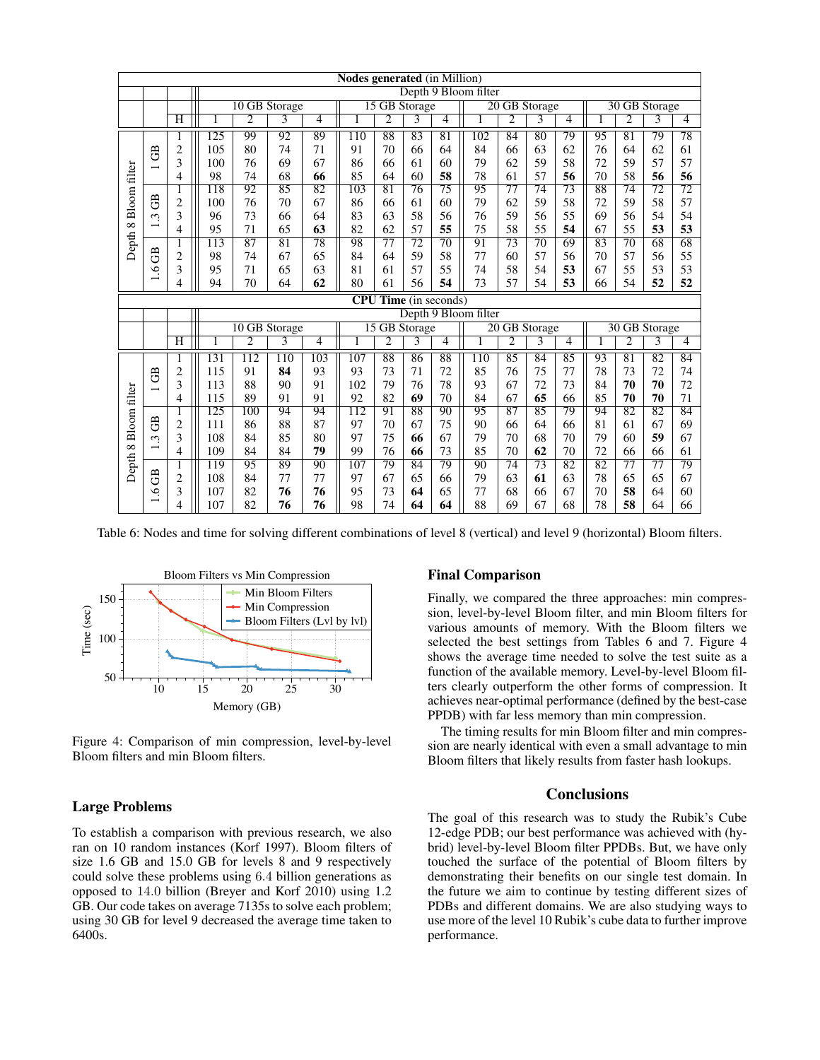|                      | <b>Nodes generated</b> (in Million)        |                    |                  |                      |                 |                 |                  |                 |                 |                                |                      |                 |                 |                 |                 |                 |                 |                                |  |  |  |  |  |
|----------------------|--------------------------------------------|--------------------|------------------|----------------------|-----------------|-----------------|------------------|-----------------|-----------------|--------------------------------|----------------------|-----------------|-----------------|-----------------|-----------------|-----------------|-----------------|--------------------------------|--|--|--|--|--|
|                      |                                            |                    |                  | Depth 9 Bloom filter |                 |                 |                  |                 |                 |                                |                      |                 |                 |                 |                 |                 |                 |                                |  |  |  |  |  |
|                      |                                            |                    |                  | 10 GB Storage        |                 |                 |                  | 15 GB Storage   |                 |                                |                      | 20 GB Storage   |                 |                 | 30 GB Storage   |                 |                 |                                |  |  |  |  |  |
|                      |                                            | Η                  |                  | $\overline{2}$       | 3               | 4               |                  | 2               | 3               | 4                              |                      | 2               | 3               | 4               |                 | $\overline{2}$  | 3               | $\overline{4}$                 |  |  |  |  |  |
|                      |                                            |                    | $\overline{125}$ | 99                   | 92              | 89              | 110              | 88              | 83              | 81                             | 102                  | 84              | 80              | 79              | 95              | 81              | 79              | 78                             |  |  |  |  |  |
|                      | GB<br>$\overline{\phantom{0}}$             | 2                  | 105              | 80                   | 74              | 71              | 91               | 70              | 66              | 64                             | 84                   | 66              | 63              | 62              | 76              | 64              | 62              | 61                             |  |  |  |  |  |
|                      |                                            | 3                  | 100              | 76                   | 69              | 67              | 86               | 66              | 61              | 60                             | 79                   | 62              | 59              | 58              | 72              | 59              | 57              | 57                             |  |  |  |  |  |
| Depth 8 Bloom filter |                                            | 4                  | 98               | 74                   | 68              | 66              | 85               | 64              | 60              | 58                             | 78                   | 61              | 57              | 56              | 70              | 58              | 56              | 56                             |  |  |  |  |  |
|                      |                                            | 1                  | 118              | 92                   | 85              | 82              | 103              | $\overline{81}$ | 76              | 75                             | 95                   | $\overline{77}$ | $\overline{74}$ | 73              | 88              | 74              | $\overline{72}$ | 72                             |  |  |  |  |  |
|                      | $\mathbb{B}$                               | $\overline{c}$     | 100              | 76                   | 70              | 67              | 86               | 66              | 61              | 60                             | 79                   | 62              | 59              | 58              | 72              | 59              | 58              | 57                             |  |  |  |  |  |
|                      | $\tilde{3}$<br>$\overline{\phantom{0}}$    | 3                  | 96               | 73                   | 66              | 64              | 83               | 63              | 58              | 56                             | 76                   | 59              | 56              | 55              | 69              | 56              | 54              | 54                             |  |  |  |  |  |
|                      |                                            | 4                  | 95               | 71                   | 65              | 63              | 82               | 62              | 57              | 55                             | 75                   | 58              | 55              | 54              | 67              | 55              | 53              | 53                             |  |  |  |  |  |
|                      |                                            | 1                  | $\overline{113}$ | $\overline{87}$      | $\overline{81}$ | $\overline{78}$ | 98               | 77              | $\overline{72}$ | $\overline{70}$                | 91                   | $\overline{73}$ | $\overline{70}$ | 69              | $\overline{83}$ | $\overline{70}$ | $\overline{68}$ | 68                             |  |  |  |  |  |
|                      | GB                                         | $\overline{c}$     | 98               | 74                   | 67              | 65              | 84               | 64              | 59              | 58                             | 77                   | 60              | 57              | 56              | 70              | 57              | 56              | 55                             |  |  |  |  |  |
|                      | Ò.<br>$\overline{\phantom{0}}$             | 3                  | 95               | 71                   | 65              | 63              | 81               | 61              | 57              | 55                             | 74                   | 58              | 54              | 53              | 67              | 55              | 53              | 53                             |  |  |  |  |  |
|                      |                                            | 4                  | 94               | 70                   | 64              | 62              | 80               | 61              | 56              | 54                             | 73                   | 57              | 54              | 53              | 66              | 54              | 52              | 52                             |  |  |  |  |  |
|                      |                                            |                    |                  |                      |                 |                 |                  |                 |                 | <b>CPU Time</b> (in seconds)   |                      |                 |                 |                 |                 |                 |                 |                                |  |  |  |  |  |
|                      |                                            |                    |                  |                      |                 |                 |                  |                 |                 |                                | Depth 9 Bloom filter |                 |                 |                 |                 |                 |                 |                                |  |  |  |  |  |
|                      |                                            |                    |                  |                      |                 |                 |                  |                 |                 | 10 GB Storage<br>15 GB Storage |                      |                 |                 |                 |                 |                 |                 | 20 GB Storage<br>30 GB Storage |  |  |  |  |  |
|                      |                                            | $\overline{\rm H}$ | 1                | 2                    | 3               | 4               |                  | 2               |                 |                                |                      |                 |                 |                 |                 |                 |                 |                                |  |  |  |  |  |
|                      |                                            |                    |                  |                      |                 |                 |                  |                 | 3               | 4                              | 1                    | $\overline{c}$  | 3               | 4               |                 | 2               | 3               | 4                              |  |  |  |  |  |
|                      |                                            |                    | 131              | 112                  | 110             | 103             | 107              | 88              | 86              | 88                             | 110                  | 85              | 84              | 85              | 93              | 81              | 82              | 84                             |  |  |  |  |  |
|                      |                                            | $\overline{c}$     | 115              | 91                   | 84              | 93              | 93               | 73              | 71              | 72                             | 85                   | 76              | 75              | 77              | 78              | 73              | 72              | 74                             |  |  |  |  |  |
|                      | GB                                         | 3                  | 113              | 88                   | 90              | 91              | 102              | 79              | 76              | 78                             | 93                   | 67              | 72              | 73              | 84              | 70              | 70              | 72                             |  |  |  |  |  |
|                      |                                            | 4                  | 115              | 89                   | 91              | 91              | 92               | 82              | 69              | 70                             | 84                   | 67              | 65              | 66              | 85              | 70              | 70              | 71                             |  |  |  |  |  |
|                      |                                            | 1                  | $\overline{125}$ | 100                  | $\overline{94}$ | 94              | $\overline{112}$ | 91              | 88              | 90                             | 95                   | 87              | $\overline{85}$ | 79              | 94              | $\overline{82}$ | $\overline{82}$ | 84                             |  |  |  |  |  |
|                      | GB                                         | $\overline{c}$     | 111              | 86                   | 88              | 87              | 97               | 70              | 67              | 75                             | 90                   | 66              | 64              | 66              | 81              | 61              | 67              | 69                             |  |  |  |  |  |
|                      | $\tilde{\xi}$                              | 3                  | 108              | 84                   | 85              | 80              | 97               | 75              | 66              | 67                             | 79                   | 70              | 68              | 70              | 79              | 60              | 59              | 67                             |  |  |  |  |  |
|                      | $\overline{\phantom{0}}$                   | 4                  | 109              | 84                   | 84              | 79              | 99               | 76              | 66              | 73                             | 85                   | 70              | 62              | 70              | 72              | 66              | 66              | 61                             |  |  |  |  |  |
|                      |                                            | 1                  | 119              | 95                   | 89              | 90              | 107              | 79              | $\overline{84}$ | 79                             | 90                   | $\overline{74}$ | $\overline{73}$ | $\overline{82}$ | $\overline{82}$ | $\overline{77}$ | $\overline{77}$ | 79                             |  |  |  |  |  |
| Depth 8 Bloom filter | $\mathbb{B}$                               | $\overline{2}$     | 108              | 84                   | 77              | 77              | 97               | 67              | 65              | 66                             | 79                   | 63              | 61              | 63              | 78              | 65              | 65              | 67                             |  |  |  |  |  |
|                      | $\ddot{\circ}$<br>$\overline{\phantom{0}}$ | 3<br>4             | 107<br>107       | 82<br>82             | 76<br>76        | 76<br>76        | 95<br>98         | 73<br>74        | 64<br>64        | 65<br>64                       | 77<br>88             | 68<br>69        | 66<br>67        | 67<br>68        | 70<br>78        | 58<br>58        | 64<br>64        | 60<br>66                       |  |  |  |  |  |

Table 6: Nodes and time for solving different combinations of level 8 (vertical) and level 9 (horizontal) Bloom filters.



Figure 4: Comparison of min compression, level-by-level Bloom filters and min Bloom filters.

#### Large Problems

To establish a comparison with previous research, we also ran on 10 random instances (Korf 1997). Bloom filters of size 1.6 GB and 15.0 GB for levels 8 and 9 respectively could solve these problems using 6.4 billion generations as opposed to 14.0 billion (Breyer and Korf 2010) using 1.2 GB. Our code takes on average 7135s to solve each problem; using 30 GB for level 9 decreased the average time taken to 6400s.

# Final Comparison

Finally, we compared the three approaches: min compression, level-by-level Bloom filter, and min Bloom filters for various amounts of memory. With the Bloom filters we selected the best settings from Tables 6 and 7. Figure 4 shows the average time needed to solve the test suite as a function of the available memory. Level-by-level Bloom filters clearly outperform the other forms of compression. It achieves near-optimal performance (defined by the best-case PPDB) with far less memory than min compression.

The timing results for min Bloom filter and min compression are nearly identical with even a small advantage to min Bloom filters that likely results from faster hash lookups.

## **Conclusions**

The goal of this research was to study the Rubik's Cube 12-edge PDB; our best performance was achieved with (hybrid) level-by-level Bloom filter PPDBs. But, we have only touched the surface of the potential of Bloom filters by demonstrating their benefits on our single test domain. In the future we aim to continue by testing different sizes of PDBs and different domains. We are also studying ways to use more of the level 10 Rubik's cube data to further improve performance.